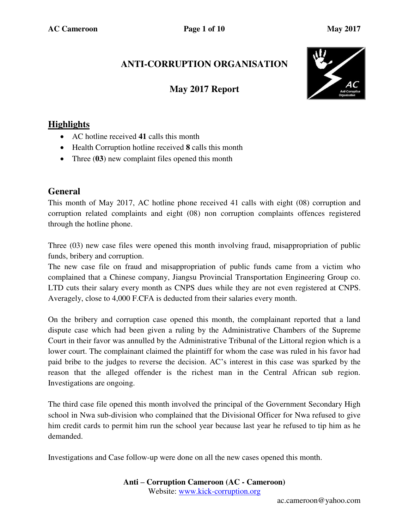# **ANTI-CORRUPTION ORGANISATION**

## **May 2017 Report**



## **Highlights**

- AC hotline received **41** calls this month
- Health Corruption hotline received **8** calls this month
- Three (03) new complaint files opened this month

### **General**

This month of May 2017, AC hotline phone received 41 calls with eight (08) corruption and corruption related complaints and eight (08) non corruption complaints offences registered through the hotline phone.

Three (03) new case files were opened this month involving fraud, misappropriation of public funds, bribery and corruption.

The new case file on fraud and misappropriation of public funds came from a victim who complained that a Chinese company, Jiangsu Provincial Transportation Engineering Group co. LTD cuts their salary every month as CNPS dues while they are not even registered at CNPS. Averagely, close to 4,000 F.CFA is deducted from their salaries every month.

On the bribery and corruption case opened this month, the complainant reported that a land dispute case which had been given a ruling by the Administrative Chambers of the Supreme Court in their favor was annulled by the Administrative Tribunal of the Littoral region which is a lower court. The complainant claimed the plaintiff for whom the case was ruled in his favor had paid bribe to the judges to reverse the decision. AC's interest in this case was sparked by the reason that the alleged offender is the richest man in the Central African sub region. Investigations are ongoing.

The third case file opened this month involved the principal of the Government Secondary High school in Nwa sub-division who complained that the Divisional Officer for Nwa refused to give him credit cards to permit him run the school year because last year he refused to tip him as he demanded.

Investigations and Case follow-up were done on all the new cases opened this month.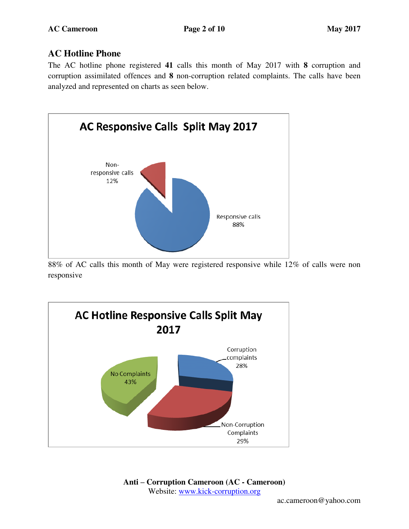### **AC Hotline Phone**

The AC hotline phone registered **41** calls this month of May 2017 with **8** corruption and corruption assimilated offences and **8** non-corruption related complaints. The calls have been analyzed and represented on charts as seen below.



88% of AC calls this month of May were registered responsive while 12% of calls were non responsive

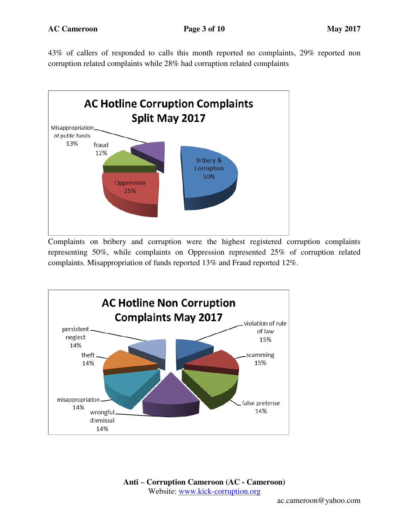43% of callers of responded to calls this month reported no complaints, 29% reported non corruption related complaints while 28% had corruption related complaints



Complaints on bribery and corruption were the highest registered corruption complaints representing 50%, while complaints on Oppression represented 25% of corruption related complaints. Misappropriation of funds reported 13% and Fraud reported 12%.

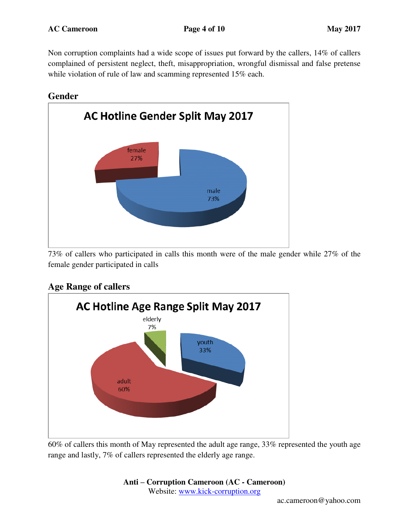Non corruption complaints had a wide scope of issues put forward by the callers, 14% of callers complained of persistent neglect, theft, misappropriation, wrongful dismissal and false pretense while violation of rule of law and scamming represented 15% each.

#### **Gender**



73% of callers who participated in calls this month were of the male gender while 27% of the female gender participated in calls

### **Age Range of callers**



60% of callers this month of May represented the adult age range, 33% represented the youth age range and lastly, 7% of callers represented the elderly age range.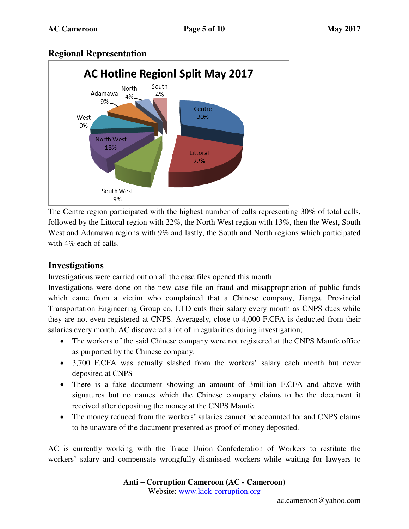### **Regional Representation**



The Centre region participated with the highest number of calls representing 30% of total calls, followed by the Littoral region with 22%, the North West region with 13%, then the West, South West and Adamawa regions with 9% and lastly, the South and North regions which participated with 4% each of calls.

#### **Investigations**

Investigations were carried out on all the case files opened this month

Investigations were done on the new case file on fraud and misappropriation of public funds which came from a victim who complained that a Chinese company, Jiangsu Provincial Transportation Engineering Group co, LTD cuts their salary every month as CNPS dues while they are not even registered at CNPS. Averagely, close to 4,000 F.CFA is deducted from their salaries every month. AC discovered a lot of irregularities during investigation;

- The workers of the said Chinese company were not registered at the CNPS Mamfe office as purported by the Chinese company.
- 3,700 F.CFA was actually slashed from the workers' salary each month but never deposited at CNPS
- There is a fake document showing an amount of 3million F.CFA and above with signatures but no names which the Chinese company claims to be the document it received after depositing the money at the CNPS Mamfe.
- The money reduced from the workers' salaries cannot be accounted for and CNPS claims to be unaware of the document presented as proof of money deposited.

AC is currently working with the Trade Union Confederation of Workers to restitute the workers' salary and compensate wrongfully dismissed workers while waiting for lawyers to

> **Anti – Corruption Cameroon (AC - Cameroon)** Website: [www.kick-corruption.org](http://www.kick-corruption.org/)

> > ac.cameroon@yahoo.com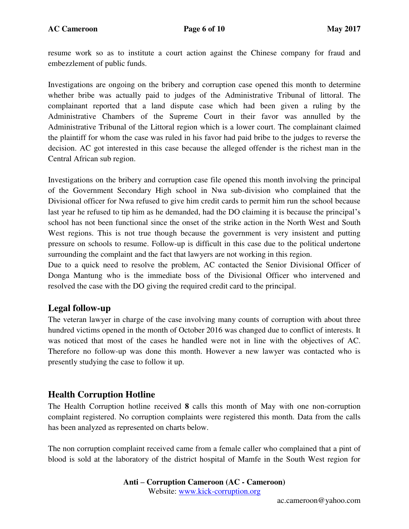resume work so as to institute a court action against the Chinese company for fraud and embezzlement of public funds.

Investigations are ongoing on the bribery and corruption case opened this month to determine whether bribe was actually paid to judges of the Administrative Tribunal of littoral. The complainant reported that a land dispute case which had been given a ruling by the Administrative Chambers of the Supreme Court in their favor was annulled by the Administrative Tribunal of the Littoral region which is a lower court. The complainant claimed the plaintiff for whom the case was ruled in his favor had paid bribe to the judges to reverse the decision. AC got interested in this case because the alleged offender is the richest man in the Central African sub region.

Investigations on the bribery and corruption case file opened this month involving the principal of the Government Secondary High school in Nwa sub-division who complained that the Divisional officer for Nwa refused to give him credit cards to permit him run the school because last year he refused to tip him as he demanded, had the DO claiming it is because the principal's school has not been functional since the onset of the strike action in the North West and South West regions. This is not true though because the government is very insistent and putting pressure on schools to resume. Follow-up is difficult in this case due to the political undertone surrounding the complaint and the fact that lawyers are not working in this region.

Due to a quick need to resolve the problem, AC contacted the Senior Divisional Officer of Donga Mantung who is the immediate boss of the Divisional Officer who intervened and resolved the case with the DO giving the required credit card to the principal.

#### **Legal follow-up**

The veteran lawyer in charge of the case involving many counts of corruption with about three hundred victims opened in the month of October 2016 was changed due to conflict of interests. It was noticed that most of the cases he handled were not in line with the objectives of AC. Therefore no follow-up was done this month. However a new lawyer was contacted who is presently studying the case to follow it up.

#### **Health Corruption Hotline**

The Health Corruption hotline received **8** calls this month of May with one non-corruption complaint registered. No corruption complaints were registered this month. Data from the calls has been analyzed as represented on charts below.

The non corruption complaint received came from a female caller who complained that a pint of blood is sold at the laboratory of the district hospital of Mamfe in the South West region for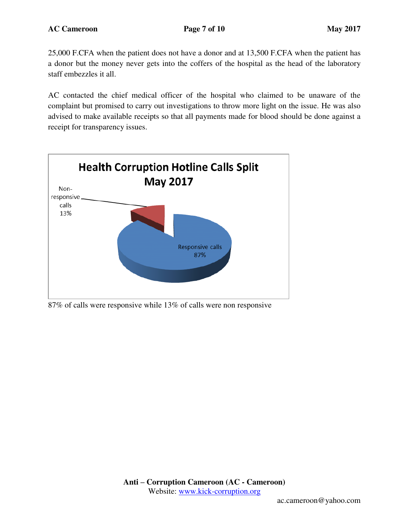25,000 F.CFA when the patient does not have a donor and at 13,500 F.CFA when the patient has a donor but the money never gets into the coffers of the hospital as the head of the laboratory staff embezzles it all.

AC contacted the chief medical officer of the hospital who claimed to be unaware of the complaint but promised to carry out investigations to throw more light on the issue. He was also advised to make available receipts so that all payments made for blood should be done against a receipt for transparency issues.



87% of calls were responsive while 13% of calls were non responsive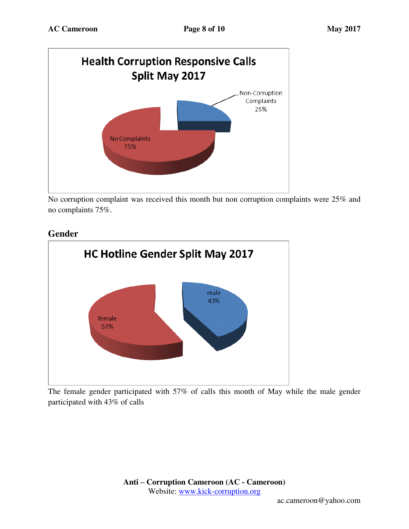

No corruption complaint was received this month but non corruption complaints were 25% and no complaints 75%.





The female gender participated with 57% of calls this month of May while the male gender participated with 43% of calls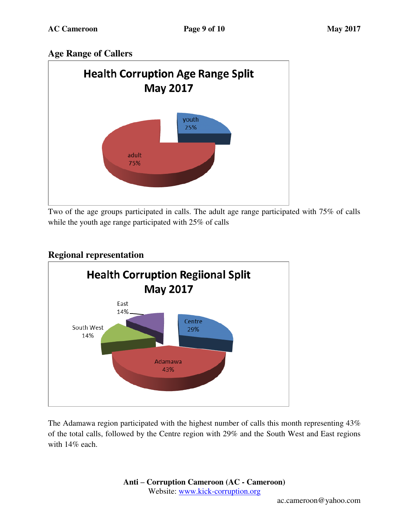## **Age Range of Callers**



Two of the age groups participated in calls. The adult age range participated with 75% of calls while the youth age range participated with 25% of calls



## **Regional representation**

The Adamawa region participated with the highest number of calls this month representing 43% of the total calls, followed by the Centre region with 29% and the South West and East regions with 14% each.